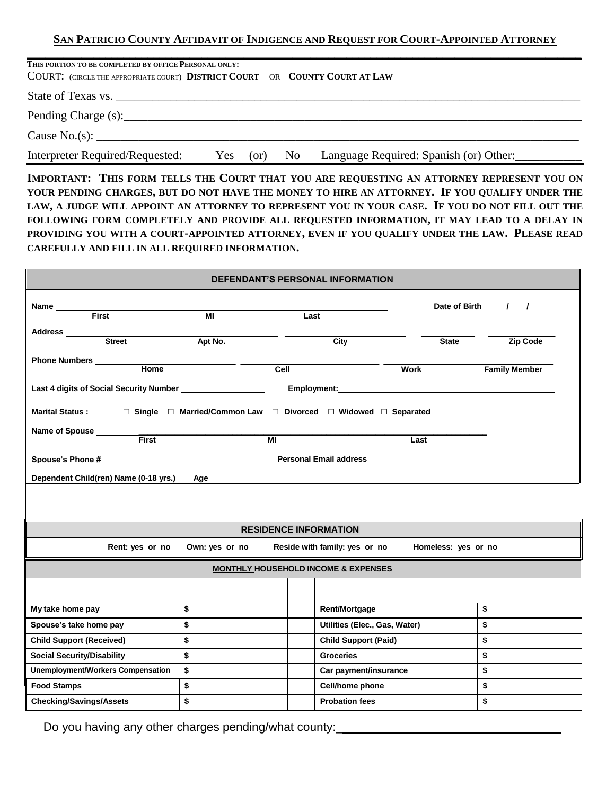## **SAN PATRICIO COUNTY AFFIDAVIT OF INDIGENCE AND REQUEST FOR COURT-APPOINTED ATTORNEY**

| THIS PORTION TO BE COMPLETED BY OFFICE PERSONAL ONLY:<br>COURT: (CIRCLE THE APPROPRIATE COURT) DISTRICT COURT OR COUNTY COURT AT LAW |  |                                                    |
|--------------------------------------------------------------------------------------------------------------------------------------|--|----------------------------------------------------|
| State of Texas vs.                                                                                                                   |  |                                                    |
|                                                                                                                                      |  |                                                    |
| Cause $No(s)$ :                                                                                                                      |  |                                                    |
| Interpreter Required/Requested:                                                                                                      |  | Yes (or) No Language Required: Spanish (or) Other: |

**IMPORTANT: THIS FORM TELLS THE COURT THAT YOU ARE REQUESTING AN ATTORNEY REPRESENT YOU ON YOUR PENDING CHARGES, BUT DO NOT HAVE THE MONEY TO HIRE AN ATTORNEY. IF YOU QUALIFY UNDER THE LAW, A JUDGE WILL APPOINT AN ATTORNEY TO REPRESENT YOU IN YOUR CASE. IF YOU DO NOT FILL OUT THE FOLLOWING FORM COMPLETELY AND PROVIDE ALL REQUESTED INFORMATION, IT MAY LEAD TO A DELAY IN PROVIDING YOU WITH A COURT-APPOINTED ATTORNEY, EVEN IF YOU QUALIFY UNDER THE LAW. PLEASE READ CAREFULLY AND FILL IN ALL REQUIRED INFORMATION.**

| <b>DEFENDANT'S PERSONAL INFORMATION</b>                                                                           |                                                                                                                                                                                                                                |                                                |              |                      |  |  |  |  |
|-------------------------------------------------------------------------------------------------------------------|--------------------------------------------------------------------------------------------------------------------------------------------------------------------------------------------------------------------------------|------------------------------------------------|--------------|----------------------|--|--|--|--|
| Name <b>First</b>                                                                                                 | M <sub>l</sub>                                                                                                                                                                                                                 | Last                                           |              |                      |  |  |  |  |
|                                                                                                                   |                                                                                                                                                                                                                                |                                                |              |                      |  |  |  |  |
|                                                                                                                   | Apt No.                                                                                                                                                                                                                        | City                                           | <b>State</b> | <b>Zip Code</b>      |  |  |  |  |
| Phone Numbers ________<br>Home                                                                                    |                                                                                                                                                                                                                                |                                                |              |                      |  |  |  |  |
|                                                                                                                   | $\overline{\text{Cell}}$                                                                                                                                                                                                       |                                                | <b>Work</b>  | <b>Family Member</b> |  |  |  |  |
| Last 4 digits of Social Security Number <b>Name 1 (2014)</b>                                                      | Employment: New York Changes and Changes and Changes and Changes and Changes and Changes and Changes and Changes and Changes and Changes and Changes and Changes and Changes and Changes and Changes and Changes and Changes a |                                                |              |                      |  |  |  |  |
| $\Box$ Single $\Box$ Married/Common Law $\Box$ Divorced $\Box$ Widowed $\Box$ Separated<br><b>Marital Status:</b> |                                                                                                                                                                                                                                |                                                |              |                      |  |  |  |  |
| Name of Spouse __________                                                                                         |                                                                                                                                                                                                                                |                                                |              |                      |  |  |  |  |
| First                                                                                                             | MI                                                                                                                                                                                                                             |                                                | Last         |                      |  |  |  |  |
|                                                                                                                   |                                                                                                                                                                                                                                |                                                |              |                      |  |  |  |  |
| Dependent Child(ren) Name (0-18 yrs.)<br>Age                                                                      |                                                                                                                                                                                                                                |                                                |              |                      |  |  |  |  |
|                                                                                                                   |                                                                                                                                                                                                                                |                                                |              |                      |  |  |  |  |
|                                                                                                                   |                                                                                                                                                                                                                                |                                                |              |                      |  |  |  |  |
|                                                                                                                   | <b>RESIDENCE INFORMATION</b>                                                                                                                                                                                                   |                                                |              |                      |  |  |  |  |
| Reside with family: yes or no<br>Homeless: yes or no<br>Rent: yes or no<br>Own: yes or no                         |                                                                                                                                                                                                                                |                                                |              |                      |  |  |  |  |
|                                                                                                                   |                                                                                                                                                                                                                                | <b>MONTHLY HOUSEHOLD INCOME &amp; EXPENSES</b> |              |                      |  |  |  |  |
|                                                                                                                   |                                                                                                                                                                                                                                |                                                |              |                      |  |  |  |  |
|                                                                                                                   |                                                                                                                                                                                                                                |                                                |              |                      |  |  |  |  |
| My take home pay                                                                                                  | \$                                                                                                                                                                                                                             | <b>Rent/Mortgage</b>                           |              | \$                   |  |  |  |  |
| Spouse's take home pay                                                                                            | \$                                                                                                                                                                                                                             | Utilities (Elec., Gas, Water)                  |              | \$                   |  |  |  |  |
| <b>Child Support (Received)</b>                                                                                   | \$                                                                                                                                                                                                                             | <b>Child Support (Paid)</b>                    |              | \$                   |  |  |  |  |
| <b>Social Security/Disability</b>                                                                                 | \$                                                                                                                                                                                                                             | <b>Groceries</b>                               |              | \$                   |  |  |  |  |
| <b>Unemployment/Workers Compensation</b>                                                                          | \$                                                                                                                                                                                                                             | Car payment/insurance                          |              | \$                   |  |  |  |  |
| <b>Food Stamps</b>                                                                                                | \$                                                                                                                                                                                                                             | Cell/home phone                                |              | \$                   |  |  |  |  |
| <b>Checking/Savings/Assets</b>                                                                                    | \$                                                                                                                                                                                                                             | <b>Probation fees</b>                          |              | \$                   |  |  |  |  |

Do you having any other charges pending/what county:\_